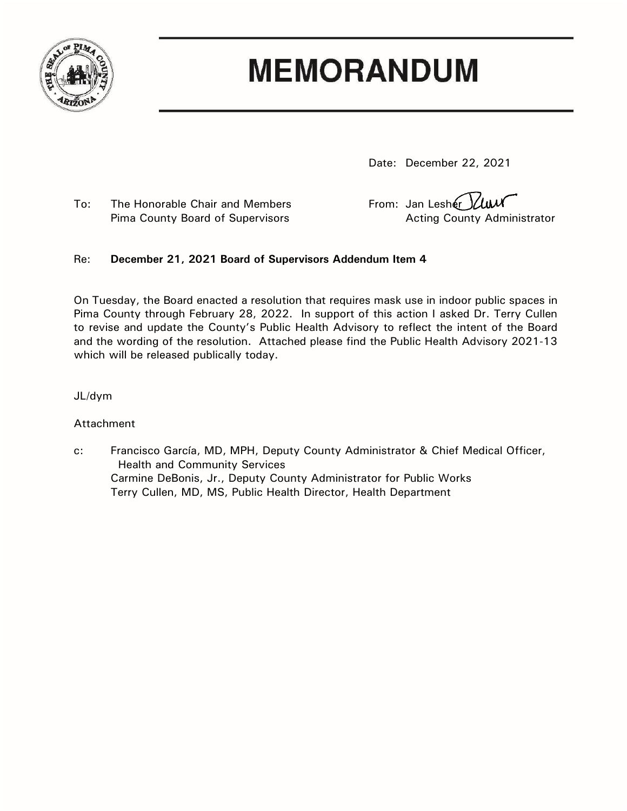

# **MEMORANDUM**

Date: December 22, 2021

To: The Honorable Chair and Members From: Jan Lesher Pima County Board of Supervisors **Acting County Administrator** Acting County Administrator

# Re: **December 21, 2021 Board of Supervisors Addendum Item 4**

On Tuesday, the Board enacted a resolution that requires mask use in indoor public spaces in Pima County through February 28, 2022. In support of this action I asked Dr. Terry Cullen to revise and update the County's Public Health Advisory to reflect the intent of the Board and the wording of the resolution. Attached please find the Public Health Advisory 2021-13 which will be released publically today.

# JL/dym

# Attachment

c: Francisco García, MD, MPH, Deputy County Administrator & Chief Medical Officer, Health and Community Services Carmine DeBonis, Jr., Deputy County Administrator for Public Works Terry Cullen, MD, MS, Public Health Director, Health Department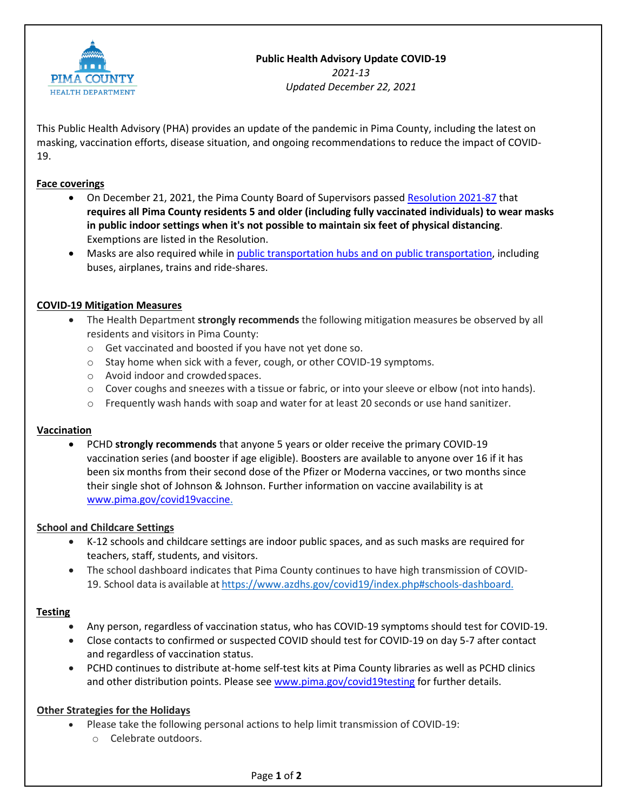

# **Public Health Advisory Update COVID-19** *2021-13*

*Updated December 22, 2021*

This Public Health Advisory (PHA) provides an update of the pandemic in Pima County, including the latest on masking, vaccination efforts, disease situation, and ongoing recommendations to reduce the impact of COVID-19.

# **Face coverings**

- On December 21, 2021, the Pima County Board of Supervisors passed [Resolution 2021-87](https://webcms.pima.gov/UserFiles/Servers/Server_6/File/Government/Administration/newsroom/2021/December/BOS_AdoptedResolution_2021-87_12-21-21.pdf) that **requires all Pima County residents 5 and older (including fully vaccinated individuals) to wear masks in public indoor settings when it's not possible to maintain six feet of physical distancing**. Exemptions are listed in the Resolution.
- Masks are also required while i[n public transportation hubs and on public transportation,](https://www.cdc.gov/coronavirus/2019-ncov/travelers/face-masks-public-transportation.html) including buses, airplanes, trains and ride-shares.

#### **COVID-19 Mitigation Measures**

- The Health Department **strongly recommends** the following mitigation measures be observed by all residents and visitors in Pima County:
	- o Get vaccinated and boosted if you have not yet done so.
	- o Stay home when sick with a fever, cough, or other COVID-19 symptoms.
	- o Avoid indoor and crowdedspaces.
	- o Cover coughs and sneezes with a tissue or fabric, or into your sleeve or elbow (not into hands).
	- $\circ$  Frequently wash hands with soap and water for at least 20 seconds or use hand sanitizer.

#### **Vaccination**

• PCHD **strongly recommends** that anyone 5 years or older receive the primary COVID-19 vaccination series (and booster if age eligible). Boosters are available to anyone over 16 if it has been six months from their second dose of the Pfizer or Moderna vaccines, or two months since their single shot of Johnson & Johnson. Further information on vaccine availability is at [www.pima.gov/covid19vaccine.](http://www.pima.gov/covid19vaccine)

#### **School and Childcare Settings**

- K-12 schools and childcare settings are indoor public spaces, and as such masks are required for teachers, staff, students, and visitors.
- The school dashboard indicates that Pima County continues to have high transmission of COVID-19. School data is available at [https://ww](http://www.azdhs.gov/covid19/index.php#schools-dashboard)w[.azdhs.g](http://www.azdhs.gov/covid19/index.php#schools-dashboard)o[v/covid19/index.php#schools-dashboard.](http://www.azdhs.gov/covid19/index.php#schools-dashboard)

#### **Testing**

- Any person, regardless of vaccination status, who has COVID-19 symptoms should test for COVID-19.
- Close contacts to confirmed or suspected COVID should test for COVID-19 on day 5-7 after contact and regardless of vaccination status.
- PCHD continues to distribute at-home self-test kits at Pima County libraries as well as PCHD clinics and other distribution points. Please see [www.pima.gov/covid19testing](https://webcms.pima.gov/cms/One.aspx?portalId=169&pageId=575060) for further details.

#### **Other Strategies for the Holidays**

- Please take the following personal actions to help limit transmission of COVID-19:
	- o Celebrate outdoors.